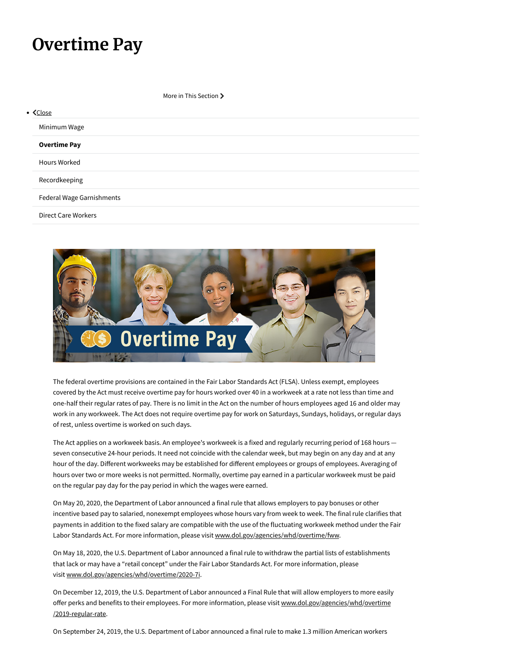## **Overtime Pay**

More in This Section >

| $\bullet$ $\mathsf{Close}$ |                           |  |  |
|----------------------------|---------------------------|--|--|
| Minimum Wage               |                           |  |  |
| <b>Overtime Pay</b>        |                           |  |  |
| <b>Hours Worked</b>        |                           |  |  |
| Recordkeeping              |                           |  |  |
|                            | Federal Wage Garnishments |  |  |
| <b>Direct Care Workers</b> |                           |  |  |



The federal overtime provisions are contained in the Fair Labor Standards Act (FLSA). Unless exempt, employees covered by the Act must receive overtime pay for hours worked over 40 in a workweek at a rate not less than time and one-half their regular rates of pay. There is no limit in the Act on the number of hours employees aged 16 and older may work in any workweek. The Act does not require overtime pay for work on Saturdays, Sundays, holidays, or regular days of rest, unless overtime is worked on such days.

The Act applies on a workweek basis. An employee's workweek is a fixed and regularly recurring period of 168 hours seven consecutive 24-hour periods. It need not coincide with the calendar week, but may begin on any day and at any hour of the day. Diferent workweeks may be established for diferent employees or groups of employees. Averaging of hours over two or more weeks is not permitted. Normally, overtime pay earned in a particular workweek must be paid on the regular pay day for the pay period in which the wages were earned.

On May 20, 2020, the Department of Labor announced a final rule that allows employers to pay bonuses or other incentive based pay to salaried, nonexempt employees whose hours vary from week to week. The final rule clarifies that payments in addition to the fixed salary are compatible with the use of the fluctuating workweek method under the Fair Labor Standards Act. For more information, please visit [www.dol.gov/agencies/whd/overtime/fww.](https://www.dol.gov/agencies/whd/overtime/fww)

On May 18, 2020, the U.S. Department of Labor announced a final rule to withdraw the partial lists of establishments that lack or may have a "retail concept" under the Fair Labor Standards Act. For more information, please visit [www.dol.gov/agencies/whd/overtime/2020-7i](https://www.dol.gov/agencies/whd/overtime/2020-7i).

On December 12, 2019, the U.S. Department of Labor announced a Final Rule that will allow employers to more easily offer perks and benefits to their employees. For more information, please visit [www.dol.gov/agencies/whd/overtime](https://www.dol.gov/agencies/whd/overtime/2019-regular-rate) [/2019-regular-rate.](https://www.dol.gov/agencies/whd/overtime/2019-regular-rate)

On September 24, 2019, the U.S. Department of Labor announced a final rule to make 1.3 million American workers